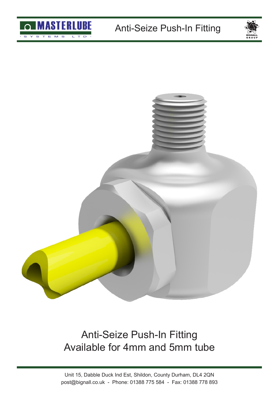





## Anti-Seize Push-In Fitting Available for 4mm and 5mm tube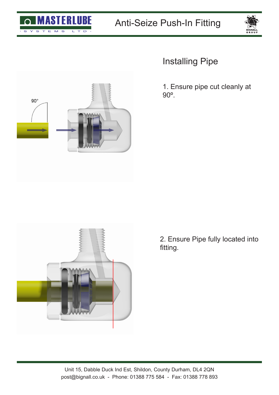



## Installing Pipe

1. Ensure pipe cut cleanly at 90º.





2. Ensure Pipe fully located into fitting.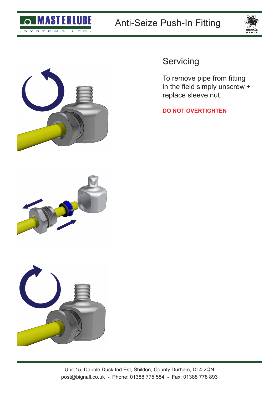





**Servicing** 

To remove pipe from fitting in the field simply unscrew + replace sleeve nut.

**DO NOT OVERTIGHTEN**



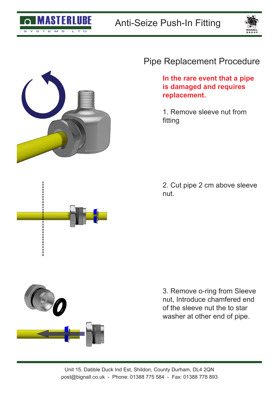





## Pipe Replacement Procedure

**In the rare event that a pipe is damaged and requires replacement.**

1. Remove sleeve nut from fitting

2. Cut pipe 2 cm above sleeve nut.



3. Remove o-ring from Sleeve nut, Introduce chamfered end of the sleeve nut the to star washer at other end of pipe.